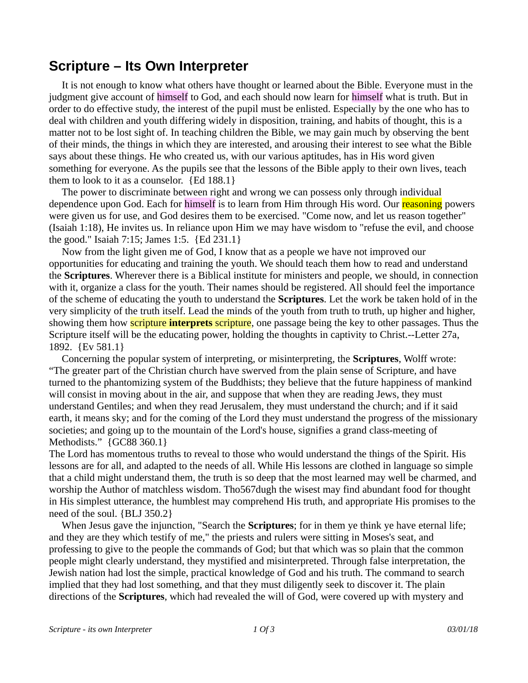## **Scripture – Its Own Interpreter**

 It is not enough to know what others have thought or learned about the Bible. Everyone must in the judgment give account of himself to God, and each should now learn for himself what is truth. But in order to do effective study, the interest of the pupil must be enlisted. Especially by the one who has to deal with children and youth differing widely in disposition, training, and habits of thought, this is a matter not to be lost sight of. In teaching children the Bible, we may gain much by observing the bent of their minds, the things in which they are interested, and arousing their interest to see what the Bible says about these things. He who created us, with our various aptitudes, has in His word given something for everyone. As the pupils see that the lessons of the Bible apply to their own lives, teach them to look to it as a counselor.  ${Ed 188.1}$ 

 The power to discriminate between right and wrong we can possess only through individual dependence upon God. Each for himself is to learn from Him through His word. Our reasoning powers were given us for use, and God desires them to be exercised. "Come now, and let us reason together" (Isaiah 1:18), He invites us. In reliance upon Him we may have wisdom to "refuse the evil, and choose the good." Isaiah 7:15; James 1:5. {Ed 231.1}

 Now from the light given me of God, I know that as a people we have not improved our opportunities for educating and training the youth. We should teach them how to read and understand the **Scriptures**. Wherever there is a Biblical institute for ministers and people, we should, in connection with it, organize a class for the youth. Their names should be registered. All should feel the importance of the scheme of educating the youth to understand the **Scriptures**. Let the work be taken hold of in the very simplicity of the truth itself. Lead the minds of the youth from truth to truth, up higher and higher, showing them how scripture **interprets** scripture, one passage being the key to other passages. Thus the Scripture itself will be the educating power, holding the thoughts in captivity to Christ.--Letter 27a, 1892. {Ev 581.1}

 Concerning the popular system of interpreting, or misinterpreting, the **Scriptures**, Wolff wrote: "The greater part of the Christian church have swerved from the plain sense of Scripture, and have turned to the phantomizing system of the Buddhists; they believe that the future happiness of mankind will consist in moving about in the air, and suppose that when they are reading Jews, they must understand Gentiles; and when they read Jerusalem, they must understand the church; and if it said earth, it means sky; and for the coming of the Lord they must understand the progress of the missionary societies; and going up to the mountain of the Lord's house, signifies a grand class-meeting of Methodists." {GC88 360.1}

The Lord has momentous truths to reveal to those who would understand the things of the Spirit. His lessons are for all, and adapted to the needs of all. While His lessons are clothed in language so simple that a child might understand them, the truth is so deep that the most learned may well be charmed, and worship the Author of matchless wisdom. Tho567dugh the wisest may find abundant food for thought in His simplest utterance, the humblest may comprehend His truth, and appropriate His promises to the need of the soul. {BLJ 350.2}

 When Jesus gave the injunction, "Search the **Scriptures**; for in them ye think ye have eternal life; and they are they which testify of me," the priests and rulers were sitting in Moses's seat, and professing to give to the people the commands of God; but that which was so plain that the common people might clearly understand, they mystified and misinterpreted. Through false interpretation, the Jewish nation had lost the simple, practical knowledge of God and his truth. The command to search implied that they had lost something, and that they must diligently seek to discover it. The plain directions of the **Scriptures**, which had revealed the will of God, were covered up with mystery and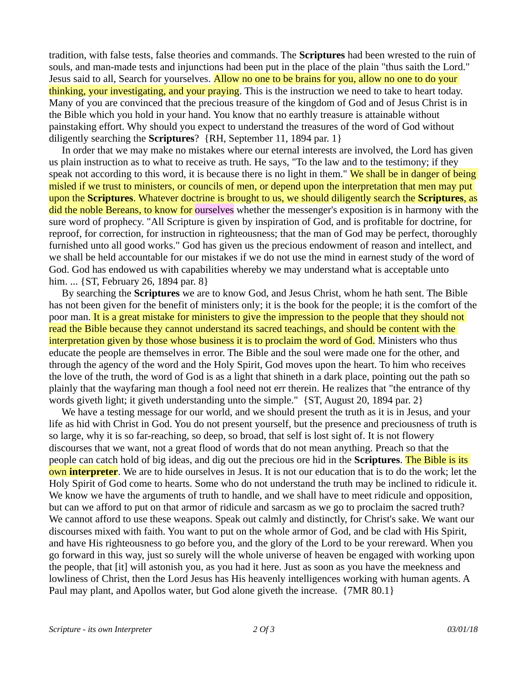tradition, with false tests, false theories and commands. The **Scriptures** had been wrested to the ruin of souls, and man-made tests and injunctions had been put in the place of the plain "thus saith the Lord." Jesus said to all, Search for yourselves. Allow no one to be brains for you, allow no one to do your thinking, your investigating, and your praying. This is the instruction we need to take to heart today. Many of you are convinced that the precious treasure of the kingdom of God and of Jesus Christ is in the Bible which you hold in your hand. You know that no earthly treasure is attainable without painstaking effort. Why should you expect to understand the treasures of the word of God without diligently searching the **Scriptures**? {RH, September 11, 1894 par. 1}

 In order that we may make no mistakes where our eternal interests are involved, the Lord has given us plain instruction as to what to receive as truth. He says, "To the law and to the testimony; if they speak not according to this word, it is because there is no light in them." We shall be in danger of being misled if we trust to ministers, or councils of men, or depend upon the interpretation that men may put upon the **Scriptures**. Whatever doctrine is brought to us, we should diligently search the **Scriptures**, as did the noble Bereans, to know for ourselves whether the messenger's exposition is in harmony with the sure word of prophecy. "All Scripture is given by inspiration of God, and is profitable for doctrine, for reproof, for correction, for instruction in righteousness; that the man of God may be perfect, thoroughly furnished unto all good works." God has given us the precious endowment of reason and intellect, and we shall be held accountable for our mistakes if we do not use the mind in earnest study of the word of God. God has endowed us with capabilities whereby we may understand what is acceptable unto him. ... {ST, February 26, 1894 par. 8}

 By searching the **Scriptures** we are to know God, and Jesus Christ, whom he hath sent. The Bible has not been given for the benefit of ministers only; it is the book for the people; it is the comfort of the poor man. It is a great mistake for ministers to give the impression to the people that they should not read the Bible because they cannot understand its sacred teachings, and should be content with the interpretation given by those whose business it is to proclaim the word of God. Ministers who thus educate the people are themselves in error. The Bible and the soul were made one for the other, and through the agency of the word and the Holy Spirit, God moves upon the heart. To him who receives the love of the truth, the word of God is as a light that shineth in a dark place, pointing out the path so plainly that the wayfaring man though a fool need not err therein. He realizes that "the entrance of thy words giveth light; it giveth understanding unto the simple." {ST, August 20, 1894 par. 2}

 We have a testing message for our world, and we should present the truth as it is in Jesus, and your life as hid with Christ in God. You do not present yourself, but the presence and preciousness of truth is so large, why it is so far-reaching, so deep, so broad, that self is lost sight of. It is not flowery discourses that we want, not a great flood of words that do not mean anything. Preach so that the people can catch hold of big ideas, and dig out the precious ore hid in the **Scriptures**. The Bible is its own **interpreter**. We are to hide ourselves in Jesus. It is not our education that is to do the work; let the Holy Spirit of God come to hearts. Some who do not understand the truth may be inclined to ridicule it. We know we have the arguments of truth to handle, and we shall have to meet ridicule and opposition, but can we afford to put on that armor of ridicule and sarcasm as we go to proclaim the sacred truth? We cannot afford to use these weapons. Speak out calmly and distinctly, for Christ's sake. We want our discourses mixed with faith. You want to put on the whole armor of God, and be clad with His Spirit, and have His righteousness to go before you, and the glory of the Lord to be your rereward. When you go forward in this way, just so surely will the whole universe of heaven be engaged with working upon the people, that [it] will astonish you, as you had it here. Just as soon as you have the meekness and lowliness of Christ, then the Lord Jesus has His heavenly intelligences working with human agents. A Paul may plant, and Apollos water, but God alone giveth the increase. {7MR 80.1}